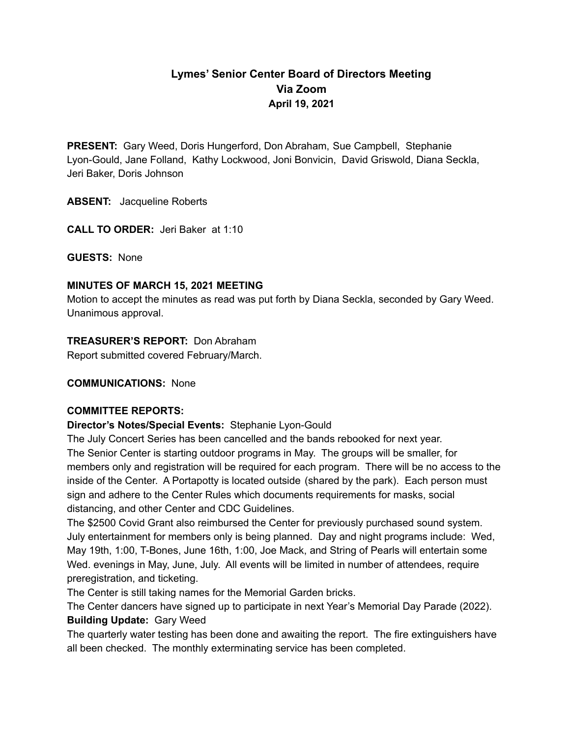# **Lymes' Senior Center Board of Directors Meeting Via Zoom April 19, 2021**

**PRESENT:** Gary Weed, Doris Hungerford, Don Abraham, Sue Campbell, Stephanie Lyon-Gould, Jane Folland, Kathy Lockwood, Joni Bonvicin, David Griswold, Diana Seckla, Jeri Baker, Doris Johnson

**ABSENT:** Jacqueline Roberts

**CALL TO ORDER:** Jeri Baker at 1:10

**GUESTS:** None

#### **MINUTES OF MARCH 15, 2021 MEETING**

Motion to accept the minutes as read was put forth by Diana Seckla, seconded by Gary Weed. Unanimous approval.

#### **TREASURER'S REPORT:** Don Abraham

Report submitted covered February/March.

#### **COMMUNICATIONS:** None

#### **COMMITTEE REPORTS:**

**Director's Notes/Special Events:** Stephanie Lyon-Gould

The July Concert Series has been cancelled and the bands rebooked for next year. The Senior Center is starting outdoor programs in May. The groups will be smaller, for members only and registration will be required for each program. There will be no access to the inside of the Center. A Portapotty is located outside (shared by the park). Each person must sign and adhere to the Center Rules which documents requirements for masks, social distancing, and other Center and CDC Guidelines.

The \$2500 Covid Grant also reimbursed the Center for previously purchased sound system. July entertainment for members only is being planned. Day and night programs include: Wed, May 19th, 1:00, T-Bones, June 16th, 1:00, Joe Mack, and String of Pearls will entertain some Wed. evenings in May, June, July. All events will be limited in number of attendees, require preregistration, and ticketing.

The Center is still taking names for the Memorial Garden bricks.

The Center dancers have signed up to participate in next Year's Memorial Day Parade (2022).

## **Building Update:** Gary Weed

The quarterly water testing has been done and awaiting the report. The fire extinguishers have all been checked. The monthly exterminating service has been completed.